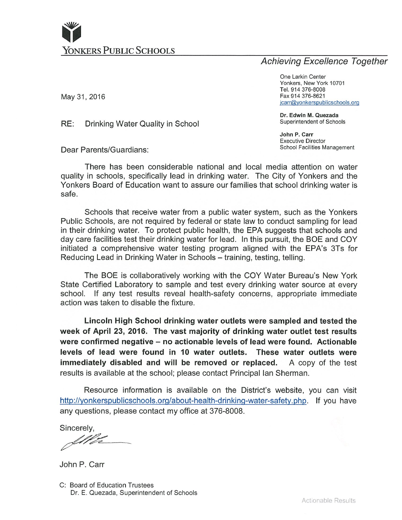

# **Achieving Excellence Together**

One Larkin Center Yonkers, New York 10701 Tel. 914 376-8008 Fax 914 376-8621 jcarr@yonkerspublicschools.org

Dr. Edwin M. Quezada Superintendent of Schools

John P. Carr **Executive Director** School Facilities Management

May 31, 2016

RE: Drinking Water Quality in School

Dear Parents/Guardians:

There has been considerable national and local media attention on water quality in schools, specifically lead in drinking water. The City of Yonkers and the Yonkers Board of Education want to assure our families that school drinking water is safe.

Schools that receive water from a public water system, such as the Yonkers Public Schools, are not required by federal or state law to conduct sampling for lead in their drinking water. To protect public health, the EPA suggests that schools and day care facilities test their drinking water for lead. In this pursuit, the BOE and COY initiated a comprehensive water testing program aligned with the EPA's 3Ts for Reducing Lead in Drinking Water in Schools - training, testing, telling.

The BOE is collaboratively working with the COY Water Bureau's New York State Certified Laboratory to sample and test every drinking water source at every school. If any test results reveal health-safety concerns, appropriate immediate action was taken to disable the fixture.

Lincoln High School drinking water outlets were sampled and tested the week of April 23, 2016. The vast majority of drinking water outlet test results were confirmed negative – no actionable levels of lead were found. Actionable levels of lead were found in 10 water outlets. These water outlets were immediately disabled and will be removed or replaced. A copy of the test results is available at the school; please contact Principal Ian Sherman.

Resource information is available on the District's website, you can visit http://yonkerspublicschools.org/about-health-drinking-water-safety.php. If you have any questions, please contact my office at 376-8008.

Sincerely.

John P. Carr

C: Board of Education Trustees Dr. E. Quezada, Superintendent of Schools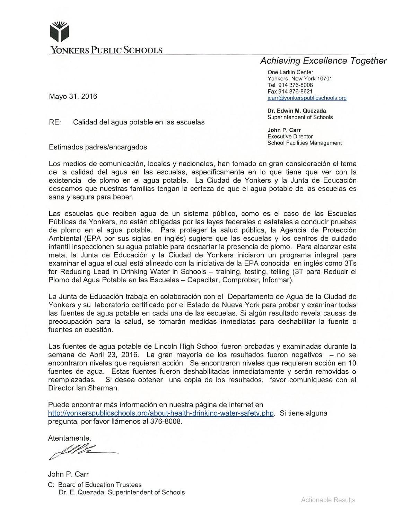

# **Achieving Excellence Together**

One Larkin Center Yonkers, New York 10701 Tel. 914 376-8008 Fax 914 376-8621 jcarr@yonkerspublicschools.org

Dr. Edwin M. Quezada Superintendent of Schools

John P. Carr **Executive Director School Facilities Management** 

Mayo 31, 2016

RE: Calidad del agua potable en las escuelas

Estimados padres/encargados

Los medios de comunicación, locales y nacionales, han tomado en gran consideración el tema de la calidad del agua en las escuelas, específicamente en lo que tiene que ver con la existencia de plomo en el agua potable. La Ciudad de Yonkers y la Junta de Educación deseamos que nuestras familias tengan la certeza de que el agua potable de las escuelas es sana y segura para beber.

Las escuelas que reciben agua de un sistema público, como es el caso de las Escuelas Públicas de Yonkers, no están obligadas por las leves federales o estatales a conducir pruebas de plomo en el agua potable. Para proteger la salud pública, la Agencia de Protección Ambiental (EPA por sus siglas en inglés) sugiere que las escuelas y los centros de cuidado infantil inspeccionen su agua potable para descartar la presencia de plomo. Para alcanzar esta meta, la Junta de Educación y la Ciudad de Yonkers iniciaron un programa integral para examinar el agua el cual está alineado con la iniciativa de la EPA conocida en inglés como 3Ts for Reducing Lead in Drinking Water in Schools - training, testing, telling (3T para Reducir el Plomo del Agua Potable en las Escuelas - Capacitar, Comprobar, Informar).

La Junta de Educación trabaja en colaboración con el Departamento de Agua de la Ciudad de Yonkers y su laboratorio certificado por el Estado de Nueva York para probar y examinar todas las fuentes de agua potable en cada una de las escuelas. Si algún resultado revela causas de preocupación para la salud, se tomarán medidas inmediatas para deshabilitar la fuente o fuentes en cuestión.

Las fuentes de agua potable de Lincoln High School fueron probadas y examinadas durante la semana de Abril 23, 2016. La gran mayoría de los resultados fueron negativos - no se encontraron niveles que requieran acción. Se encontraron niveles que requieren acción en 10 fuentes de agua. Estas fuentes fueron deshabilitadas inmediatamente y serán removidas o reemplazadas. Si desea obtener una copia de los resultados, favor comuníquese con el Director Ian Sherman.

Puede encontrar más información en nuestra página de internet en http://yonkerspublicschools.org/about-health-drinking-water-safety.php. Si tiene alguna pregunta, por favor llámenos al 376-8008.

Atentamente,

Ill

John P. Carr C: Board of Education Trustees Dr. E. Quezada, Superintendent of Schools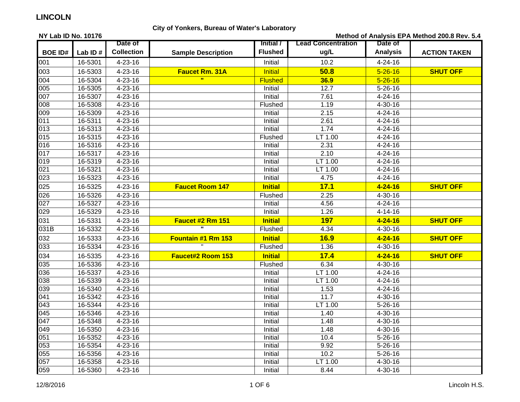### **City of Yonkers, Bureau of Water's Laboratory**

**NY Lab ID No. 10176BOE ID# Lab ID #Date ofCollection Sample Description Initial /FlushedLead Concentration ug/L Date ofAnalysis ACTION TAKEN** 001 | 16-5301 | 4-23-16 | | Initial | 10.2 | 4-24-16  $4 - 24 - 16$ 003 16-5303 4-23-16 **Faucet Rm. 31A** Initial **50.8** 5-26-16 **SHUT OFF** 004 16-5304 4-23-16 **"** Flushed **36.9** 5-26-16 005 16-5305 4-23-16 Initial 12.7 5-26-16007 16-5307 4-23-16 Initial 7.61 4-24-16008 16-5308 4-23-16 Flushed 1.19 4-30-16009 16-5309 4-23-16 Initial 2.15 4-24-16 $4 - 24 - 16$ 011 16-5311 4-23-16 Initial 2.61 4-24-16013 16-5313 4-23-16 Initial 1.74 4-24-16015 | 16-5315 | 4-23-16 | | Flushed | LT 1.00 | 4-24-16 016 16-5316 4-23-16 2.31 4-24-16  $4 - 24 - 16$ 017 16-5317 4-23-16 Initial 2.10 4-24-16019 | 16-5319 | 4-23-16 | | Initial LT 1.00 | 4-24-16 021 16-5321 4-23-16 Initial LT 1.00 4-24-16023 16-5323 4-23-16 Initial 4.75 4-24-164-24-16 025 16-5325 4-23-16 **Faucet Room 147 Initial 17.1 4-24-16 SHUT OFF**026 | 16-5326 | 4-23-16 | | Flushed | 2.25 | 4-30-16 027 16-5327 4-23-16 Initial 4.56 4-24-16029 16-5329 4-23-16 Initial 1.26 4-14-16031 16-5331 4-23-16 **Faucet #2 Rm 151 Initial 197 4-24-16 SHUT OFF**031B | 16-5332 | 4-23-16 **"** Flushed 4.34 4-30-16 032 16-5333 4-23-16**Fountain #1 Rm 153** | Initial | 16.9 | 4-24-16 **SHUT OFF** 033 | 16-5334 | 4-23-16 | " | Flushed | 1.36 | 4-30-16 4-30-16 034 16-5335 4-23-16 **Faucet#2 Room 153 Initial 17.4 4-24-16 SHUT OFF**035 | 16-5336 | 4-23-16 | | Flushed | 6.34 | 4-30-16 036 16-5337 4-23-16 Initial LT 1.00 4-24-16038 16-5339 4-23-16 Initial LT 1.00 4-24-16039 16-5340 4-23-16 Initial 1.53 4-24-16041 16-5342 4-23-16 Initial 11.7 4-30-16043 | 16-5344 | 4-23-16 | | Initial LT 1.00 | 5-26-16 045 16-5346 4-23-16 Initial 1.40 4-30-16047 16-5348 4-23-16 Initial 1.48 4-30-16049 16-5350 4-23-16 Initial 1.48 4-30-16051 16-5352 | 4-23-16 | | Initial | 10.4 5-26-16 053 16-5354 4-23-16 Initial 9.92 5-26-16055 16-5356 4-23-16 Initial 10.2 5-26-16057 | 16-5358 | 4-23-16 | | Initial | LT 1.00 | 4-30-16 4-30-16 059 16-5360 4-23-16 Initial 8.44 4-30-16**Method of Analysis EPA Method 200.8 Rev. 5.4**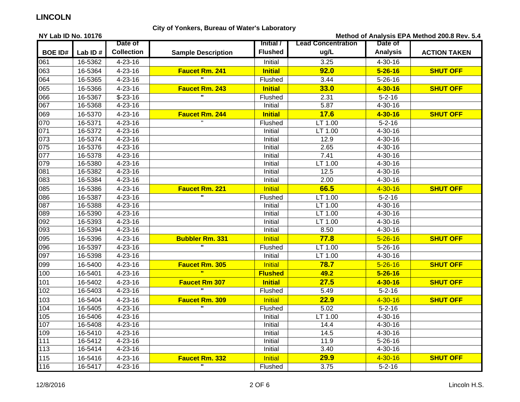### **City of Yonkers, Bureau of Water's Laboratory**

**NY Lab ID No. 10176BOE ID# Lab ID #Date ofCollection Sample Description Initial /FlushedLead Concentration ug/L Date ofAnalysis ACTION TAKEN Method of Analysis EPA Method 200.8 Rev. 5.4** 061 | 16-5362 | 4-23-16 | | Initial | 3.25 | 4-30-16 063 16-5364 4-23-16 **Faucet Rm. 241 Initial 92.0 5-26-16 SHUT OFF** 064 16-5365 4-23-16 **"** Flushed 3.44 5-26-16 065 16-5366 4-23-16 **Faucet Rm. 243 Initial 33.0 4-30-16 SHUT OFF**066 16-5367 \$-23-16 **"** Flushed 2.31 5-2-16 067 16-5368 4-23-16 Initial 5.87 4-30-16069 16-5370 4-23-16**Faucet Rm. 244 Initial 17.6 4-30-16 SHUT OFF** 070 | 16-5371 | 4-23-16 " | Flushed | LT 1.00 | 5-2-16 071 16-5372 4-23-16 Initial LT 1.00 4-30-16073 16-5374 4-23-16 Initial 12.9 4-30-16075 16-5376 4-23-16 Initial 2.65 4-30-16077 16-5378 4-23-16 Initial 7.41 4-30-16079 16-5380 4-23-16 Initial LT 1.00 4-30-16081 16-5382 4-23-16 Initial 12.5 4-30-16083 16-5384 4-23-16 Initial 2.00 4-30-16085 16-5386 4-23-16 **Faucet Rm. 221** Initial **66.5** 4-30-16 **SHUT OFF**086 16-5387 4-23-16 **"** Flushed LT 1.00 5-2-16 087 16-5388 4-23-16 Initial LT 1.00 4-30-16089 16-5390 4-23-16 Initial LT 1.00 4-30-16092 16-5393 4-23-16 Initial LT 1.00 4-30-16093 16-5394 4-23-16 Initial 8.50 4-30-16095 16-5396 4-23-16**Bubbler Rm. 331 Initial <b>77.8 SHUT OFF** 096 16-5397 4-23-16 **"** Flushed LT 1.00 5-26-16 097 16-5398 4-23-16 Initial LT 1.00 4-30-16099 16-5400 4-23-16 **Faucet Rm. 305** Initial **78.7** 5-26-16 **SHUT OFF**100 16-5401 4-23-16 **" Flushed 49.2 5-26-16** 101 16-5402 4-23-16 **Faucet Rm 307 Initial 27.5 4-30-16 SHUT OFF**102 16-5403 4-23-16 **"** Flushed 5.49 5-2-16 103 16-5404 4-23-16 **Faucet Rm. 309** Initial **22.9** 4-30-16 **SHUT OFF**104 16-5405 4-23-16 **"** Flushed 5.02 5-2-16 105 16-5406 4-23-16 Initial LT 1.00 4-30-16107 16-5408 4-23-16 Initial 14.4 4-30-16109 | 16-5410 | 4-23-16 | | Initial | 14.5 | 4-30-16 4-30-16 111 16-5412 4-23-16 Initial 11.9 5-26-16113 16-5414 4-23-16 Initial 3.40 4-30-164-30-16 115 16-5416 4-23-16 **Faucet Rm. 332** Initial **29.9** 4-30-16 **SHUT OFF**116 16-5417 4-23-16**"** Flushed 3.75 5-2-16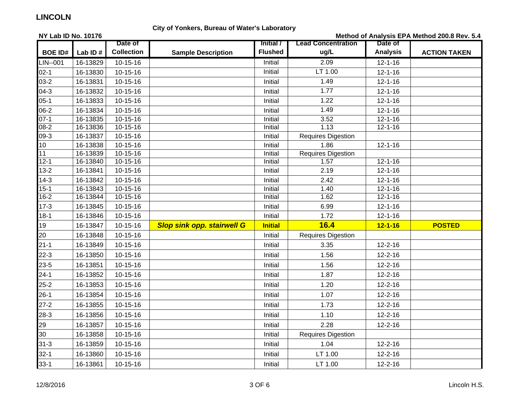### **City of Yonkers, Bureau of Water's Laboratory**

**NY Lab ID No. 10176BOE ID# Lab ID #Date ofCollection Sample Description Initial /FlushedLead Concentration ug/L Date ofAnalysis ACTION TAKEN Method of Analysis EPA Method 200.8 Rev. 5.4**  $LIN-.001$  16-13829 10-15-16 Initial 2.09 12-1-16 02-1 16-13830 10-15-16 Initial LT 1.00 12-1-16 03-2 16-13831 10-15-16 Initial 1.49 12-1-16 04-3 16-13832 10-15-16 Initial $1.77$  12-1-16 05-1 16-13833 10-15-16 Initial $1.22$  12-1-16 06-2 16-13834 10-15-16 Initial1.49 12-1-16 07-1 | 16-13835 | 10-15-16 | | Initial 3.52 | 12-1-16  $12 - 1 - 16$ 08-2 | 16-13836 | 10-15-16 | | Initial | 1.13 | 12-1-16 09-3 16-13837 10-15-16 Initial Requires Digestion 10 | 16-13838 | 10-15-16 | | | 12-1-16  $12 - 1 - 16$ 11 16-13839 10-15-16 Initial Requires Digestion 12-1 16-13840 10-15-16 Initial 1.57 12-1-1613-2 16-13841 10-15-16 2.19 12-1-16 14-3 16-13842 10-15-16 2.42 12-1-16 15-1 16-13843 10-15-16 Initial 1.40 12-1-1616-2 | 16-13844 | 10-15-16 | | Initial | 1.62 | 12-1-16 17-3 16-13845 | 10-15-16 6.99 12-1-16  $12 - 1 - 16$ 18-1 16-13846 10-15-16 Initial 1.72 12-1-1619 16-13847 10-15-16 *Slop sink opp. stairwell G* **Initial 16.4 12-1-16 POSTED** 20 16-13848 10-15-16 Initial Requires Digestion 21-1 16-13849 10-15-16 Initial 3.35 12-2-1622-3 | 16-13850 | 10-15-16 | | Initial | 1.56 | 12-2-16 23-5 | 16-13851 | 10-15-16 | | Initial | 1.56 | 12-2-16 24-1 16-13852 | 10-15-16 1.87 12-2-16 25-2 | 16-13853 | 10-15-16 | | Initial 1.20 | 12-2-16 26-1 16-13854 10-15-16 Initial 1.07 12-2-1627-2 16-13855 10-15-16 1.73 12-2-16 28-3 | 16-13856 | 10-15-16 | | Initial | 1.10 | 12-2-16 29 16-13857 10-15-16 Initial 2.28 12-2-1630 16-13858 10-15-16 Initial Requires Digestion 31-3 | 16-13859 | 10-15-16 | | Initial 1.04 | 12-2-16  $12 - 2 - 16$ 32-1 | 16-13860 | 10-15-16 | | Initial LT 1.00 | 12-2-16 33-1 | 16-13861 | 10-15-16 | | Initial LT 1.00 | 12-2-16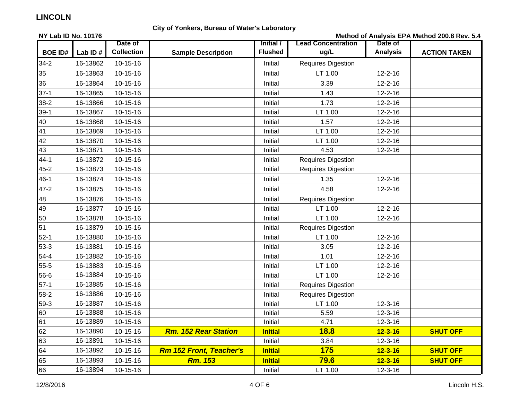### **City of Yonkers, Bureau of Water's Laboratory**

**NY Lab ID No. 10176BOE ID# Lab ID #Date ofCollection Sample Description Initial /FlushedLead Concentration ug/L Date ofAnalysis ACTION TAKEN Method of Analysis EPA Method 200.8 Rev. 5.4** 34-2 16-13862 10-15-16 Initial Requires Digestion 35 16-13863 10-15-16 Initial LT 1.00 12-2-1636 16-13864 10-15-16 Initial 3.39 12-2-1637-1 16-13865 10-15-16 1.43 12-2-16 38-2 16-13866 10-15-16 1.73 12-2-16 39-1 | 16-13867 | 10-15-16 | | Initial | LT 1.00 | 12-2-16 40 16-13868 10-15-16 Initial 1.57 12-2-1641 16-13869 10-15-16 Initial LT 1.00 12-2-1642 16-13870 10-15-16 Initial LT 1.00 12-2-16 $12 - 2 - 16$ 43 16-13871 10-15-16 Initial 4.53 12-2-1644-1 16-13872 10-15-16 Initial Requires Digestion 45-2 16-13873 10-15-16 Initial Requires Digestion 46-1 | 16-13874 | 10-15-16 | | Initial 1.35 | 12-2-16 47-2 16-13875 10-15-16 4.58 12-2-16 48 16-13876 10-15-16 Initial Requires Digestion 49 16-13877 10-15-16 Initial LT 1.00 12-2-1650 16-13878 10-15-16 Initial LT 1.00 12-2-1651 16-13879 10-15-16 Initial Requires Digestion 52-1 | 16-13880 | 10-15-16 | | Initial LT 1.00 | 12-2-16 12-2-16 53-3 16-13881 10-15-16 Initial 3.05 12-2-16 $12 - 2 - 16$ 54-4 16-13882 10-15-16 Initial 1.01 12-2-1655-5 16-13883 10-15-16 LT 1.00 12-2-16  $12 - 2 - 16$ 56-66 | 16-13884 | 10-15-16 | | Initial | LT 1.00 | 12-2-16 57-116-13885 10-15-16 **10-15-16** 10-15-16 **10-16-10-20 10-20 10-20 10-20 10-20 10-20 10-20 10-20 10-20 10-20 10-20 10-20 10-20 10-20 10-20 10-20 10-20 10-20 10-20 10-20 10-20 10-20 10-20 10-20 10-20 10-20 10-20 10-20 10-20 10-**58-216-13886 10-15-16 **10-15-16** 10-15-16 **Initial Requires Digestion** 59-33 | 16-13887 | 10-15-16 | | Initial | LT 1.00 | 12-3-16 600 | 16-13888 | 10-15-16 | | Initial 5.59 | 12-3-16 611 | 16-13889 | 10-15-16 | | Initial 4.71 | 12-3-16 62 16-13890 10-15-16 *Rm. 152 Rear Station* **Initial 18.8 12-3-16 SHUT OFF** 633 | 16-13891 | 10-15-16 | | Initial | 3.84 | 12-3-16 64 16-13892 10-15-16 *Rm 152 Front, Teacher's* **Initial 175 12-3-16 SHUT OFF** 65 16-13893 10-15-16 *Rm. 153* **Initial 79.6 12-3-16 SHUT OFF**666 | 16-13894 | 10-15-16 | | Initial | LT 1.00 | 12-3-16